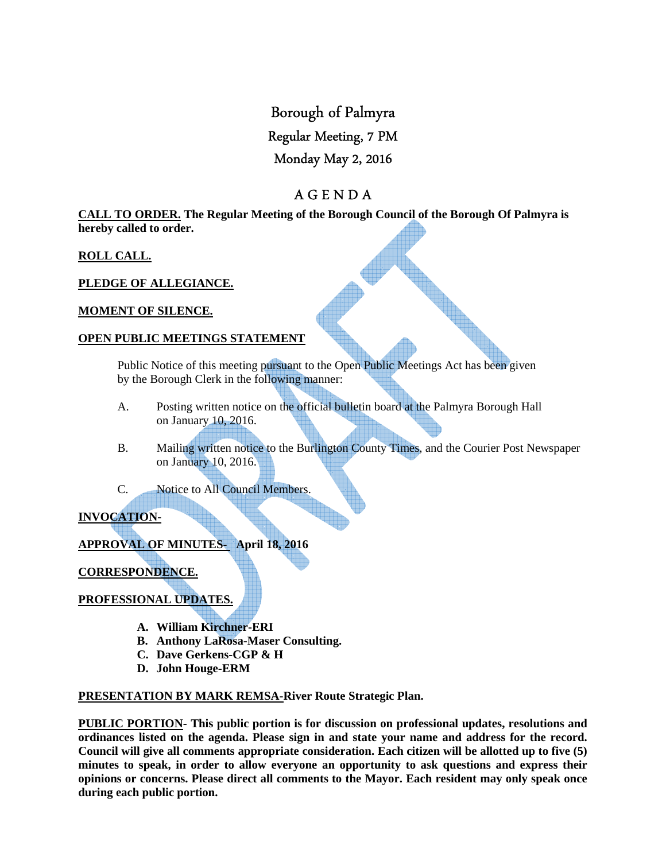# Borough of Palmyra

# Regular Meeting, 7 PM

# Monday May 2, 2016

# A G E N D A

**CALL TO ORDER. The Regular Meeting of the Borough Council of the Borough Of Palmyra is hereby called to order.** 

## **ROLL CALL.**

## **PLEDGE OF ALLEGIANCE.**

## **MOMENT OF SILENCE.**

#### **OPEN PUBLIC MEETINGS STATEMENT**

 Public Notice of this meeting pursuant to the Open Public Meetings Act has been given by the Borough Clerk in the following manner:

- A. Posting written notice on the official bulletin board at the Palmyra Borough Hall on January 10, 2016.
- B. Mailing written notice to the Burlington County Times, and the Courier Post Newspaper on January 10, 2016.
- C. Notice to All Council Members.

## **INVOCATION-**

## **APPROVAL OF MINUTES- April 18, 2016**

**CORRESPONDENCE.** 

## **PROFESSIONAL UPDATES.**

- **A. William Kirchner-ERI**
- **B. Anthony LaRosa-Maser Consulting.**
- **C. Dave Gerkens-CGP & H**
- **D. John Houge-ERM**

#### **PRESENTATION BY MARK REMSA-River Route Strategic Plan.**

**PUBLIC PORTION- This public portion is for discussion on professional updates, resolutions and ordinances listed on the agenda. Please sign in and state your name and address for the record. Council will give all comments appropriate consideration. Each citizen will be allotted up to five (5) minutes to speak, in order to allow everyone an opportunity to ask questions and express their opinions or concerns. Please direct all comments to the Mayor. Each resident may only speak once during each public portion.**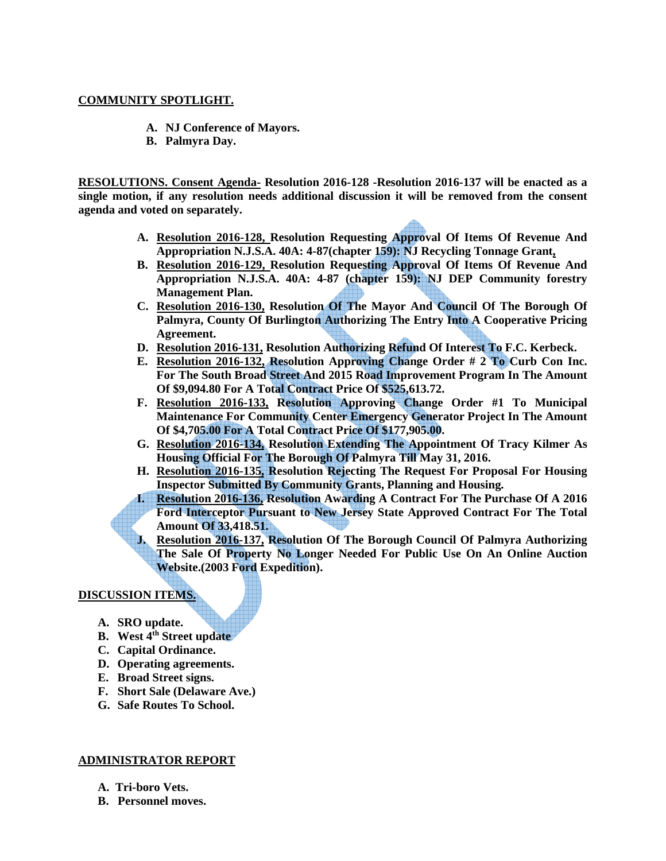#### **COMMUNITY SPOTLIGHT.**

- **A. NJ Conference of Mayors.**
- **B. Palmyra Day.**

**RESOLUTIONS. Consent Agenda- Resolution 2016-128 -Resolution 2016-137 will be enacted as a single motion, if any resolution needs additional discussion it will be removed from the consent agenda and voted on separately.** 

- **A. Resolution 2016-128, Resolution Requesting Approval Of Items Of Revenue And Appropriation N.J.S.A. 40A: 4-87(chapter 159): NJ Recycling Tonnage Grant,**
- **B. Resolution 2016-129, Resolution Requesting Approval Of Items Of Revenue And Appropriation N.J.S.A. 40A: 4-87 (chapter 159): NJ DEP Community forestry Management Plan.**
- **C. Resolution 2016-130, Resolution Of The Mayor And Council Of The Borough Of Palmyra, County Of Burlington Authorizing The Entry Into A Cooperative Pricing Agreement.**
- **D. Resolution 2016-131, Resolution Authorizing Refund Of Interest To F.C. Kerbeck.**
- **E. Resolution 2016-132, Resolution Approving Change Order # 2 To Curb Con Inc. For The South Broad Street And 2015 Road Improvement Program In The Amount Of \$9,094.80 For A Total Contract Price Of \$525,613.72.**
- **F. Resolution 2016-133, Resolution Approving Change Order #1 To Municipal Maintenance For Community Center Emergency Generator Project In The Amount Of \$4,705.00 For A Total Contract Price Of \$177,905.00.**
- **G. Resolution 2016-134, Resolution Extending The Appointment Of Tracy Kilmer As Housing Official For The Borough Of Palmyra Till May 31, 2016.**
- **H. Resolution 2016-135, Resolution Rejecting The Request For Proposal For Housing Inspector Submitted By Community Grants, Planning and Housing.**
- **I. Resolution 2016-136, Resolution Awarding A Contract For The Purchase Of A 2016 Ford Interceptor Pursuant to New Jersey State Approved Contract For The Total Amount Of 33,418.51.**
- **J. Resolution 2016-137, Resolution Of The Borough Council Of Palmyra Authorizing The Sale Of Property No Longer Needed For Public Use On An Online Auction Website.(2003 Ford Expedition).**

#### **DISCUSSION ITEMS.**

- **A. SRO update.**
- **B. West 4th Street update**
- **C. Capital Ordinance.**
- **D. Operating agreements.**
- **E. Broad Street signs.**
- **F. Short Sale (Delaware Ave.)**
- **G. Safe Routes To School.**

#### **ADMINISTRATOR REPORT**

- **A. Tri-boro Vets.**
- **B. Personnel moves.**